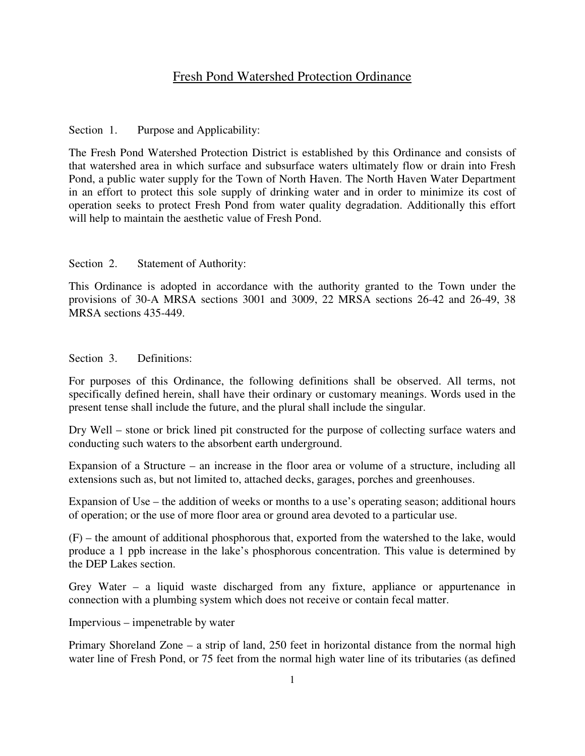# Fresh Pond Watershed Protection Ordinance

Section 1. Purpose and Applicability:

The Fresh Pond Watershed Protection District is established by this Ordinance and consists of that watershed area in which surface and subsurface waters ultimately flow or drain into Fresh Pond, a public water supply for the Town of North Haven. The North Haven Water Department in an effort to protect this sole supply of drinking water and in order to minimize its cost of operation seeks to protect Fresh Pond from water quality degradation. Additionally this effort will help to maintain the aesthetic value of Fresh Pond.

Section 2. Statement of Authority:

This Ordinance is adopted in accordance with the authority granted to the Town under the provisions of 30-A MRSA sections 3001 and 3009, 22 MRSA sections 26-42 and 26-49, 38 MRSA sections 435-449.

Section 3. Definitions:

For purposes of this Ordinance, the following definitions shall be observed. All terms, not specifically defined herein, shall have their ordinary or customary meanings. Words used in the present tense shall include the future, and the plural shall include the singular.

Dry Well – stone or brick lined pit constructed for the purpose of collecting surface waters and conducting such waters to the absorbent earth underground.

Expansion of a Structure – an increase in the floor area or volume of a structure, including all extensions such as, but not limited to, attached decks, garages, porches and greenhouses.

Expansion of Use – the addition of weeks or months to a use's operating season; additional hours of operation; or the use of more floor area or ground area devoted to a particular use.

(F) – the amount of additional phosphorous that, exported from the watershed to the lake, would produce a 1 ppb increase in the lake's phosphorous concentration. This value is determined by the DEP Lakes section.

Grey Water – a liquid waste discharged from any fixture, appliance or appurtenance in connection with a plumbing system which does not receive or contain fecal matter.

Impervious – impenetrable by water

Primary Shoreland Zone – a strip of land, 250 feet in horizontal distance from the normal high water line of Fresh Pond, or 75 feet from the normal high water line of its tributaries (as defined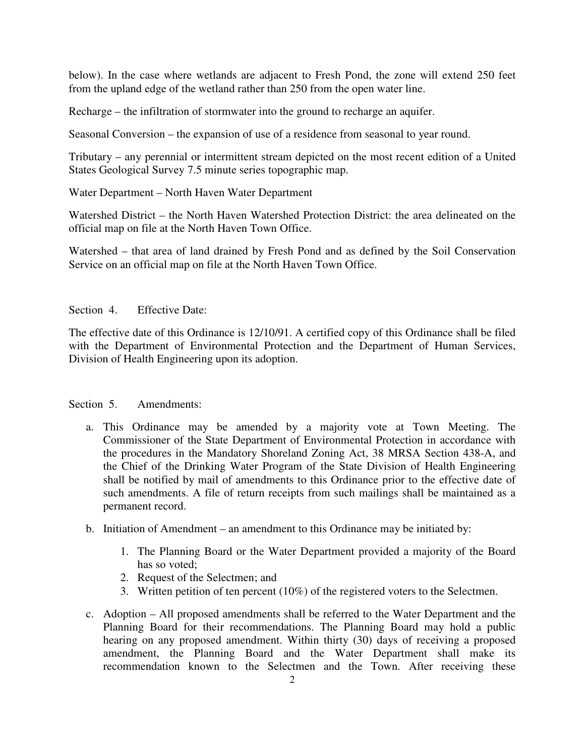below). In the case where wetlands are adjacent to Fresh Pond, the zone will extend 250 feet from the upland edge of the wetland rather than 250 from the open water line.

Recharge – the infiltration of stormwater into the ground to recharge an aquifer.

Seasonal Conversion – the expansion of use of a residence from seasonal to year round.

Tributary – any perennial or intermittent stream depicted on the most recent edition of a United States Geological Survey 7.5 minute series topographic map.

Water Department – North Haven Water Department

Watershed District – the North Haven Watershed Protection District: the area delineated on the official map on file at the North Haven Town Office.

Watershed – that area of land drained by Fresh Pond and as defined by the Soil Conservation Service on an official map on file at the North Haven Town Office.

Section 4. Effective Date:

The effective date of this Ordinance is 12/10/91. A certified copy of this Ordinance shall be filed with the Department of Environmental Protection and the Department of Human Services, Division of Health Engineering upon its adoption.

### Section 5. Amendments:

- a. This Ordinance may be amended by a majority vote at Town Meeting. The Commissioner of the State Department of Environmental Protection in accordance with the procedures in the Mandatory Shoreland Zoning Act, 38 MRSA Section 438-A, and the Chief of the Drinking Water Program of the State Division of Health Engineering shall be notified by mail of amendments to this Ordinance prior to the effective date of such amendments. A file of return receipts from such mailings shall be maintained as a permanent record.
- b. Initiation of Amendment an amendment to this Ordinance may be initiated by:
	- 1. The Planning Board or the Water Department provided a majority of the Board has so voted;
	- 2. Request of the Selectmen; and
	- 3. Written petition of ten percent (10%) of the registered voters to the Selectmen.
- c. Adoption All proposed amendments shall be referred to the Water Department and the Planning Board for their recommendations. The Planning Board may hold a public hearing on any proposed amendment. Within thirty (30) days of receiving a proposed amendment, the Planning Board and the Water Department shall make its recommendation known to the Selectmen and the Town. After receiving these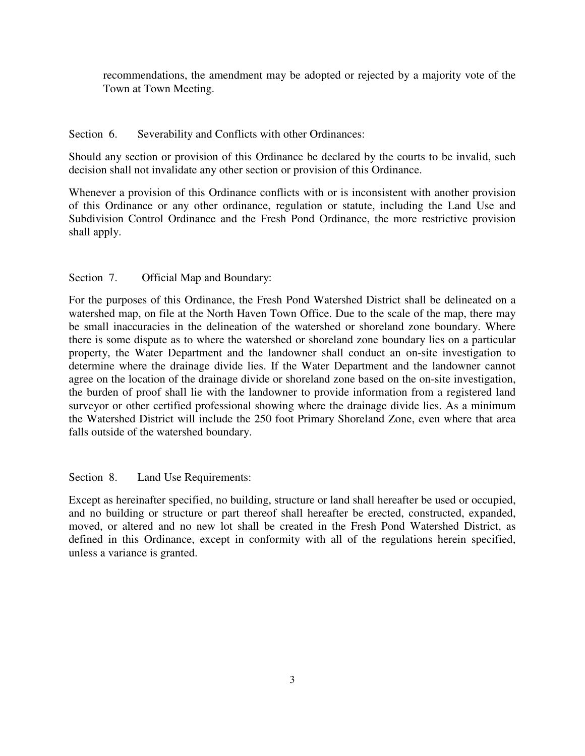recommendations, the amendment may be adopted or rejected by a majority vote of the Town at Town Meeting.

# Section 6. Severability and Conflicts with other Ordinances:

Should any section or provision of this Ordinance be declared by the courts to be invalid, such decision shall not invalidate any other section or provision of this Ordinance.

Whenever a provision of this Ordinance conflicts with or is inconsistent with another provision of this Ordinance or any other ordinance, regulation or statute, including the Land Use and Subdivision Control Ordinance and the Fresh Pond Ordinance, the more restrictive provision shall apply.

# Section 7. Official Map and Boundary:

For the purposes of this Ordinance, the Fresh Pond Watershed District shall be delineated on a watershed map, on file at the North Haven Town Office. Due to the scale of the map, there may be small inaccuracies in the delineation of the watershed or shoreland zone boundary. Where there is some dispute as to where the watershed or shoreland zone boundary lies on a particular property, the Water Department and the landowner shall conduct an on-site investigation to determine where the drainage divide lies. If the Water Department and the landowner cannot agree on the location of the drainage divide or shoreland zone based on the on-site investigation, the burden of proof shall lie with the landowner to provide information from a registered land surveyor or other certified professional showing where the drainage divide lies. As a minimum the Watershed District will include the 250 foot Primary Shoreland Zone, even where that area falls outside of the watershed boundary.

Section 8. Land Use Requirements:

Except as hereinafter specified, no building, structure or land shall hereafter be used or occupied, and no building or structure or part thereof shall hereafter be erected, constructed, expanded, moved, or altered and no new lot shall be created in the Fresh Pond Watershed District, as defined in this Ordinance, except in conformity with all of the regulations herein specified, unless a variance is granted.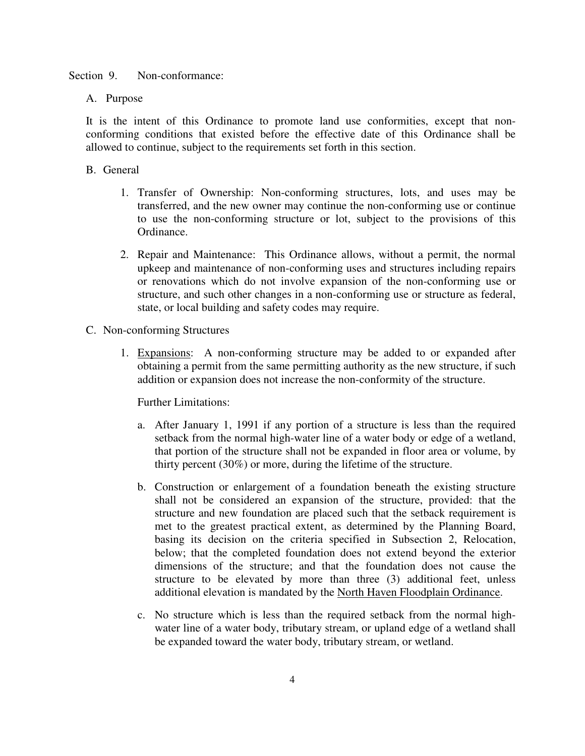Section 9. Non-conformance:

A. Purpose

It is the intent of this Ordinance to promote land use conformities, except that nonconforming conditions that existed before the effective date of this Ordinance shall be allowed to continue, subject to the requirements set forth in this section.

- B. General
	- 1. Transfer of Ownership: Non-conforming structures, lots, and uses may be transferred, and the new owner may continue the non-conforming use or continue to use the non-conforming structure or lot, subject to the provisions of this Ordinance.
	- 2. Repair and Maintenance: This Ordinance allows, without a permit, the normal upkeep and maintenance of non-conforming uses and structures including repairs or renovations which do not involve expansion of the non-conforming use or structure, and such other changes in a non-conforming use or structure as federal, state, or local building and safety codes may require.
- C. Non-conforming Structures
	- 1. Expansions: A non-conforming structure may be added to or expanded after obtaining a permit from the same permitting authority as the new structure, if such addition or expansion does not increase the non-conformity of the structure.

Further Limitations:

- a. After January 1, 1991 if any portion of a structure is less than the required setback from the normal high-water line of a water body or edge of a wetland, that portion of the structure shall not be expanded in floor area or volume, by thirty percent (30%) or more, during the lifetime of the structure.
- b. Construction or enlargement of a foundation beneath the existing structure shall not be considered an expansion of the structure, provided: that the structure and new foundation are placed such that the setback requirement is met to the greatest practical extent, as determined by the Planning Board, basing its decision on the criteria specified in Subsection 2, Relocation, below; that the completed foundation does not extend beyond the exterior dimensions of the structure; and that the foundation does not cause the structure to be elevated by more than three (3) additional feet, unless additional elevation is mandated by the North Haven Floodplain Ordinance.
- c. No structure which is less than the required setback from the normal highwater line of a water body, tributary stream, or upland edge of a wetland shall be expanded toward the water body, tributary stream, or wetland.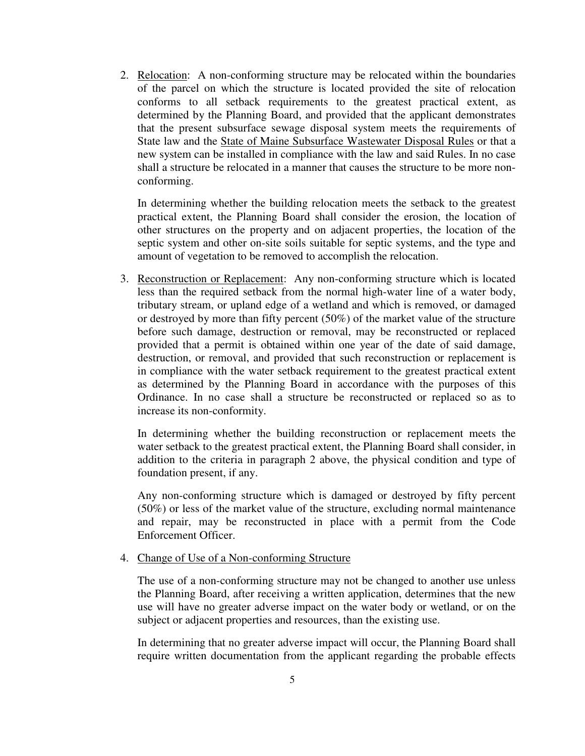2. Relocation: A non-conforming structure may be relocated within the boundaries of the parcel on which the structure is located provided the site of relocation conforms to all setback requirements to the greatest practical extent, as determined by the Planning Board, and provided that the applicant demonstrates that the present subsurface sewage disposal system meets the requirements of State law and the State of Maine Subsurface Wastewater Disposal Rules or that a new system can be installed in compliance with the law and said Rules. In no case shall a structure be relocated in a manner that causes the structure to be more nonconforming.

In determining whether the building relocation meets the setback to the greatest practical extent, the Planning Board shall consider the erosion, the location of other structures on the property and on adjacent properties, the location of the septic system and other on-site soils suitable for septic systems, and the type and amount of vegetation to be removed to accomplish the relocation.

3. Reconstruction or Replacement: Any non-conforming structure which is located less than the required setback from the normal high-water line of a water body, tributary stream, or upland edge of a wetland and which is removed, or damaged or destroyed by more than fifty percent (50%) of the market value of the structure before such damage, destruction or removal, may be reconstructed or replaced provided that a permit is obtained within one year of the date of said damage, destruction, or removal, and provided that such reconstruction or replacement is in compliance with the water setback requirement to the greatest practical extent as determined by the Planning Board in accordance with the purposes of this Ordinance. In no case shall a structure be reconstructed or replaced so as to increase its non-conformity.

In determining whether the building reconstruction or replacement meets the water setback to the greatest practical extent, the Planning Board shall consider, in addition to the criteria in paragraph 2 above, the physical condition and type of foundation present, if any.

Any non-conforming structure which is damaged or destroyed by fifty percent (50%) or less of the market value of the structure, excluding normal maintenance and repair, may be reconstructed in place with a permit from the Code Enforcement Officer.

## 4. Change of Use of a Non-conforming Structure

The use of a non-conforming structure may not be changed to another use unless the Planning Board, after receiving a written application, determines that the new use will have no greater adverse impact on the water body or wetland, or on the subject or adjacent properties and resources, than the existing use.

In determining that no greater adverse impact will occur, the Planning Board shall require written documentation from the applicant regarding the probable effects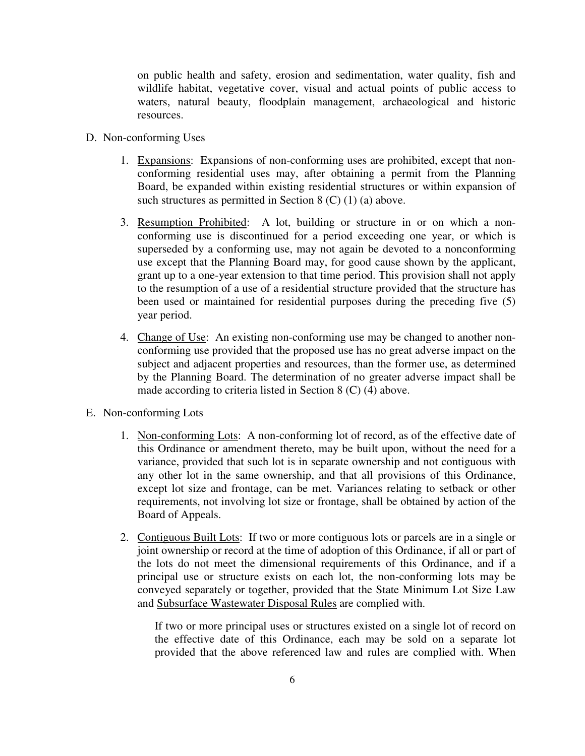on public health and safety, erosion and sedimentation, water quality, fish and wildlife habitat, vegetative cover, visual and actual points of public access to waters, natural beauty, floodplain management, archaeological and historic resources.

- D. Non-conforming Uses
	- 1. Expansions: Expansions of non-conforming uses are prohibited, except that nonconforming residential uses may, after obtaining a permit from the Planning Board, be expanded within existing residential structures or within expansion of such structures as permitted in Section 8 (C) (1) (a) above.
	- 3. Resumption Prohibited: A lot, building or structure in or on which a nonconforming use is discontinued for a period exceeding one year, or which is superseded by a conforming use, may not again be devoted to a nonconforming use except that the Planning Board may, for good cause shown by the applicant, grant up to a one-year extension to that time period. This provision shall not apply to the resumption of a use of a residential structure provided that the structure has been used or maintained for residential purposes during the preceding five (5) year period.
	- 4. Change of Use: An existing non-conforming use may be changed to another nonconforming use provided that the proposed use has no great adverse impact on the subject and adjacent properties and resources, than the former use, as determined by the Planning Board. The determination of no greater adverse impact shall be made according to criteria listed in Section 8 (C) (4) above.
- E. Non-conforming Lots
	- 1. Non-conforming Lots: A non-conforming lot of record, as of the effective date of this Ordinance or amendment thereto, may be built upon, without the need for a variance, provided that such lot is in separate ownership and not contiguous with any other lot in the same ownership, and that all provisions of this Ordinance, except lot size and frontage, can be met. Variances relating to setback or other requirements, not involving lot size or frontage, shall be obtained by action of the Board of Appeals.
	- 2. Contiguous Built Lots: If two or more contiguous lots or parcels are in a single or joint ownership or record at the time of adoption of this Ordinance, if all or part of the lots do not meet the dimensional requirements of this Ordinance, and if a principal use or structure exists on each lot, the non-conforming lots may be conveyed separately or together, provided that the State Minimum Lot Size Law and Subsurface Wastewater Disposal Rules are complied with.

If two or more principal uses or structures existed on a single lot of record on the effective date of this Ordinance, each may be sold on a separate lot provided that the above referenced law and rules are complied with. When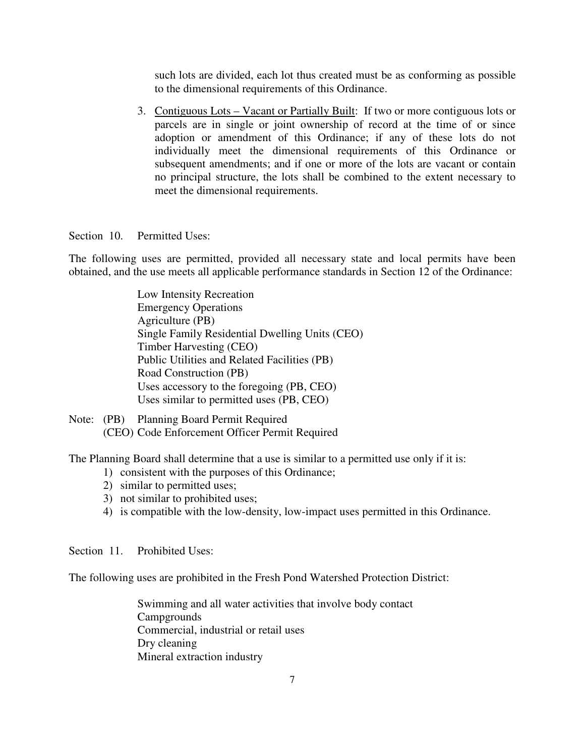such lots are divided, each lot thus created must be as conforming as possible to the dimensional requirements of this Ordinance.

3. Contiguous Lots – Vacant or Partially Built: If two or more contiguous lots or parcels are in single or joint ownership of record at the time of or since adoption or amendment of this Ordinance; if any of these lots do not individually meet the dimensional requirements of this Ordinance or subsequent amendments; and if one or more of the lots are vacant or contain no principal structure, the lots shall be combined to the extent necessary to meet the dimensional requirements.

Section 10. Permitted Uses:

The following uses are permitted, provided all necessary state and local permits have been obtained, and the use meets all applicable performance standards in Section 12 of the Ordinance:

> Low Intensity Recreation Emergency Operations Agriculture (PB) Single Family Residential Dwelling Units (CEO) Timber Harvesting (CEO) Public Utilities and Related Facilities (PB) Road Construction (PB) Uses accessory to the foregoing (PB, CEO) Uses similar to permitted uses (PB, CEO)

Note: (PB) Planning Board Permit Required (CEO) Code Enforcement Officer Permit Required

The Planning Board shall determine that a use is similar to a permitted use only if it is:

- 1) consistent with the purposes of this Ordinance;
- 2) similar to permitted uses;
- 3) not similar to prohibited uses;
- 4) is compatible with the low-density, low-impact uses permitted in this Ordinance.

Section 11. Prohibited Uses:

The following uses are prohibited in the Fresh Pond Watershed Protection District:

 Swimming and all water activities that involve body contact **Campgrounds**  Commercial, industrial or retail uses Dry cleaning Mineral extraction industry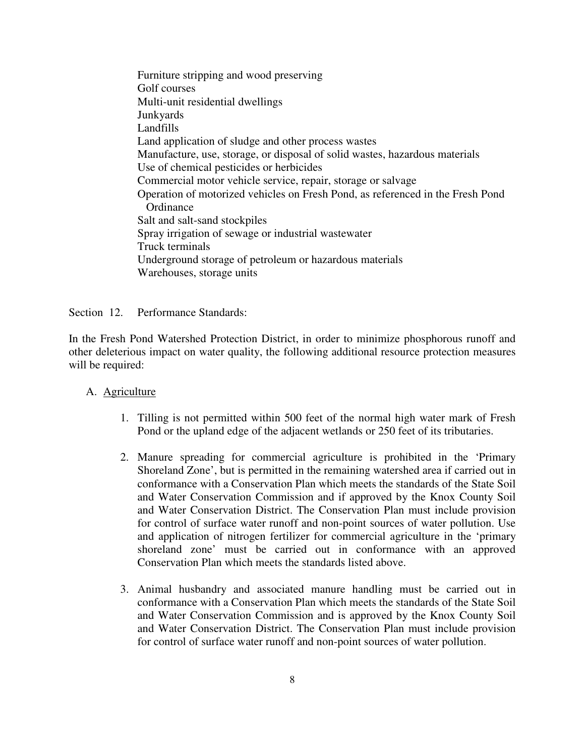Furniture stripping and wood preserving Golf courses Multi-unit residential dwellings Junkyards Landfills Land application of sludge and other process wastes Manufacture, use, storage, or disposal of solid wastes, hazardous materials Use of chemical pesticides or herbicides Commercial motor vehicle service, repair, storage or salvage Operation of motorized vehicles on Fresh Pond, as referenced in the Fresh Pond **Ordinance**  Salt and salt-sand stockpiles Spray irrigation of sewage or industrial wastewater Truck terminals Underground storage of petroleum or hazardous materials Warehouses, storage units

Section 12. Performance Standards:

In the Fresh Pond Watershed Protection District, in order to minimize phosphorous runoff and other deleterious impact on water quality, the following additional resource protection measures will be required:

- A. Agriculture
	- 1. Tilling is not permitted within 500 feet of the normal high water mark of Fresh Pond or the upland edge of the adjacent wetlands or 250 feet of its tributaries.
	- 2. Manure spreading for commercial agriculture is prohibited in the 'Primary Shoreland Zone', but is permitted in the remaining watershed area if carried out in conformance with a Conservation Plan which meets the standards of the State Soil and Water Conservation Commission and if approved by the Knox County Soil and Water Conservation District. The Conservation Plan must include provision for control of surface water runoff and non-point sources of water pollution. Use and application of nitrogen fertilizer for commercial agriculture in the 'primary shoreland zone' must be carried out in conformance with an approved Conservation Plan which meets the standards listed above.
	- 3. Animal husbandry and associated manure handling must be carried out in conformance with a Conservation Plan which meets the standards of the State Soil and Water Conservation Commission and is approved by the Knox County Soil and Water Conservation District. The Conservation Plan must include provision for control of surface water runoff and non-point sources of water pollution.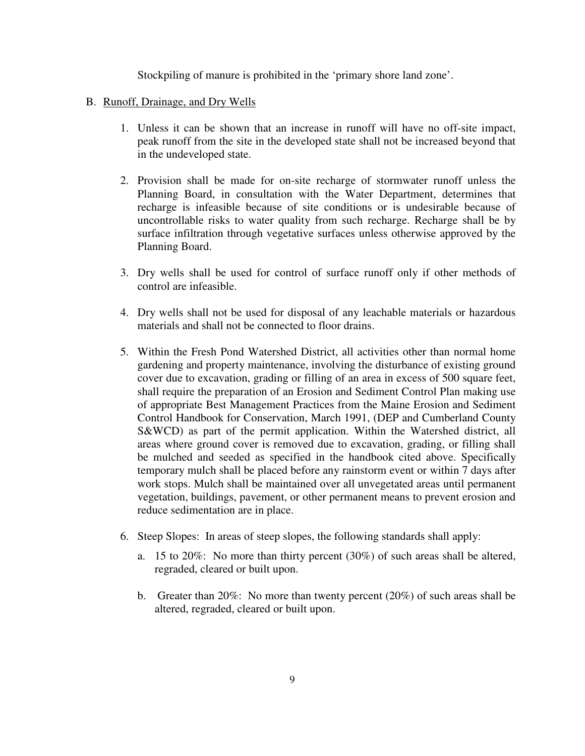Stockpiling of manure is prohibited in the 'primary shore land zone'.

### B. Runoff, Drainage, and Dry Wells

- 1. Unless it can be shown that an increase in runoff will have no off-site impact, peak runoff from the site in the developed state shall not be increased beyond that in the undeveloped state.
- 2. Provision shall be made for on-site recharge of stormwater runoff unless the Planning Board, in consultation with the Water Department, determines that recharge is infeasible because of site conditions or is undesirable because of uncontrollable risks to water quality from such recharge. Recharge shall be by surface infiltration through vegetative surfaces unless otherwise approved by the Planning Board.
- 3. Dry wells shall be used for control of surface runoff only if other methods of control are infeasible.
- 4. Dry wells shall not be used for disposal of any leachable materials or hazardous materials and shall not be connected to floor drains.
- 5. Within the Fresh Pond Watershed District, all activities other than normal home gardening and property maintenance, involving the disturbance of existing ground cover due to excavation, grading or filling of an area in excess of 500 square feet, shall require the preparation of an Erosion and Sediment Control Plan making use of appropriate Best Management Practices from the Maine Erosion and Sediment Control Handbook for Conservation, March 1991, (DEP and Cumberland County S&WCD) as part of the permit application. Within the Watershed district, all areas where ground cover is removed due to excavation, grading, or filling shall be mulched and seeded as specified in the handbook cited above. Specifically temporary mulch shall be placed before any rainstorm event or within 7 days after work stops. Mulch shall be maintained over all unvegetated areas until permanent vegetation, buildings, pavement, or other permanent means to prevent erosion and reduce sedimentation are in place.
- 6. Steep Slopes: In areas of steep slopes, the following standards shall apply:
	- a. 15 to 20%: No more than thirty percent (30%) of such areas shall be altered, regraded, cleared or built upon.
	- b. Greater than 20%: No more than twenty percent (20%) of such areas shall be altered, regraded, cleared or built upon.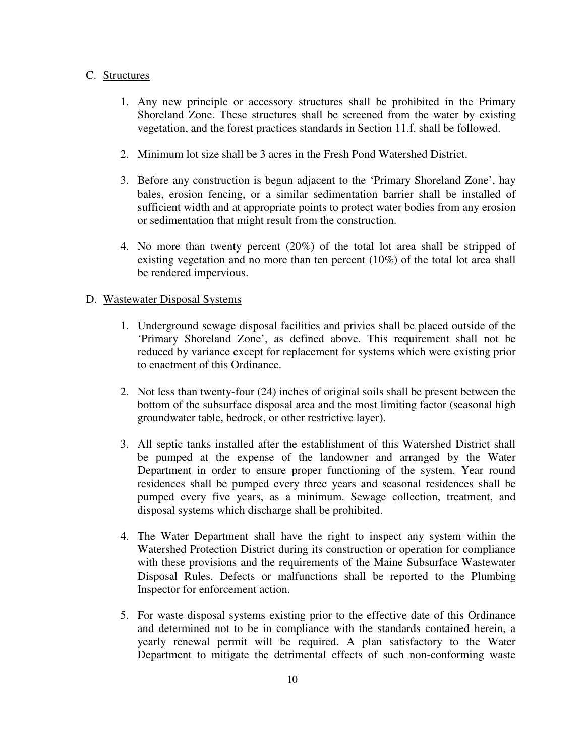### C. Structures

- 1. Any new principle or accessory structures shall be prohibited in the Primary Shoreland Zone. These structures shall be screened from the water by existing vegetation, and the forest practices standards in Section 11.f. shall be followed.
- 2. Minimum lot size shall be 3 acres in the Fresh Pond Watershed District.
- 3. Before any construction is begun adjacent to the 'Primary Shoreland Zone', hay bales, erosion fencing, or a similar sedimentation barrier shall be installed of sufficient width and at appropriate points to protect water bodies from any erosion or sedimentation that might result from the construction.
- 4. No more than twenty percent (20%) of the total lot area shall be stripped of existing vegetation and no more than ten percent (10%) of the total lot area shall be rendered impervious.

# D. Wastewater Disposal Systems

- 1. Underground sewage disposal facilities and privies shall be placed outside of the 'Primary Shoreland Zone', as defined above. This requirement shall not be reduced by variance except for replacement for systems which were existing prior to enactment of this Ordinance.
- 2. Not less than twenty-four (24) inches of original soils shall be present between the bottom of the subsurface disposal area and the most limiting factor (seasonal high groundwater table, bedrock, or other restrictive layer).
- 3. All septic tanks installed after the establishment of this Watershed District shall be pumped at the expense of the landowner and arranged by the Water Department in order to ensure proper functioning of the system. Year round residences shall be pumped every three years and seasonal residences shall be pumped every five years, as a minimum. Sewage collection, treatment, and disposal systems which discharge shall be prohibited.
- 4. The Water Department shall have the right to inspect any system within the Watershed Protection District during its construction or operation for compliance with these provisions and the requirements of the Maine Subsurface Wastewater Disposal Rules. Defects or malfunctions shall be reported to the Plumbing Inspector for enforcement action.
- 5. For waste disposal systems existing prior to the effective date of this Ordinance and determined not to be in compliance with the standards contained herein, a yearly renewal permit will be required. A plan satisfactory to the Water Department to mitigate the detrimental effects of such non-conforming waste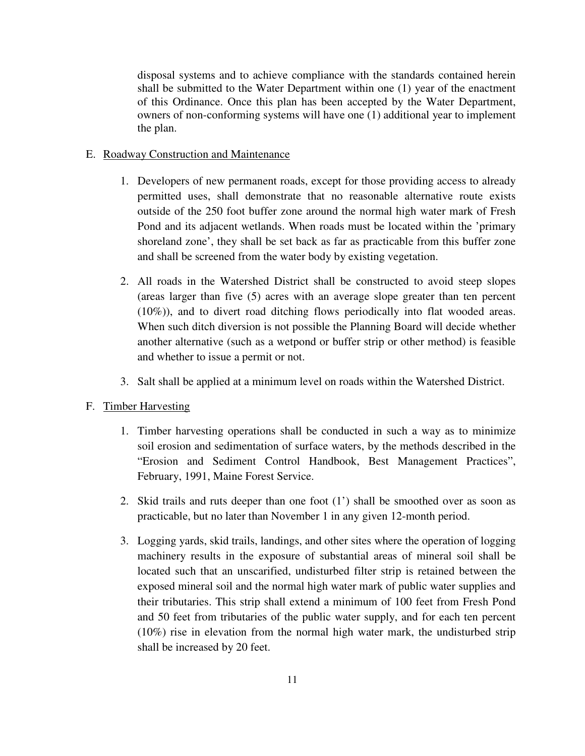disposal systems and to achieve compliance with the standards contained herein shall be submitted to the Water Department within one (1) year of the enactment of this Ordinance. Once this plan has been accepted by the Water Department, owners of non-conforming systems will have one (1) additional year to implement the plan.

# E. Roadway Construction and Maintenance

- 1. Developers of new permanent roads, except for those providing access to already permitted uses, shall demonstrate that no reasonable alternative route exists outside of the 250 foot buffer zone around the normal high water mark of Fresh Pond and its adjacent wetlands. When roads must be located within the 'primary shoreland zone', they shall be set back as far as practicable from this buffer zone and shall be screened from the water body by existing vegetation.
- 2. All roads in the Watershed District shall be constructed to avoid steep slopes (areas larger than five (5) acres with an average slope greater than ten percent (10%)), and to divert road ditching flows periodically into flat wooded areas. When such ditch diversion is not possible the Planning Board will decide whether another alternative (such as a wetpond or buffer strip or other method) is feasible and whether to issue a permit or not.
- 3. Salt shall be applied at a minimum level on roads within the Watershed District.

## F. Timber Harvesting

- 1. Timber harvesting operations shall be conducted in such a way as to minimize soil erosion and sedimentation of surface waters, by the methods described in the "Erosion and Sediment Control Handbook, Best Management Practices", February, 1991, Maine Forest Service.
- 2. Skid trails and ruts deeper than one foot (1') shall be smoothed over as soon as practicable, but no later than November 1 in any given 12-month period.
- 3. Logging yards, skid trails, landings, and other sites where the operation of logging machinery results in the exposure of substantial areas of mineral soil shall be located such that an unscarified, undisturbed filter strip is retained between the exposed mineral soil and the normal high water mark of public water supplies and their tributaries. This strip shall extend a minimum of 100 feet from Fresh Pond and 50 feet from tributaries of the public water supply, and for each ten percent (10%) rise in elevation from the normal high water mark, the undisturbed strip shall be increased by 20 feet.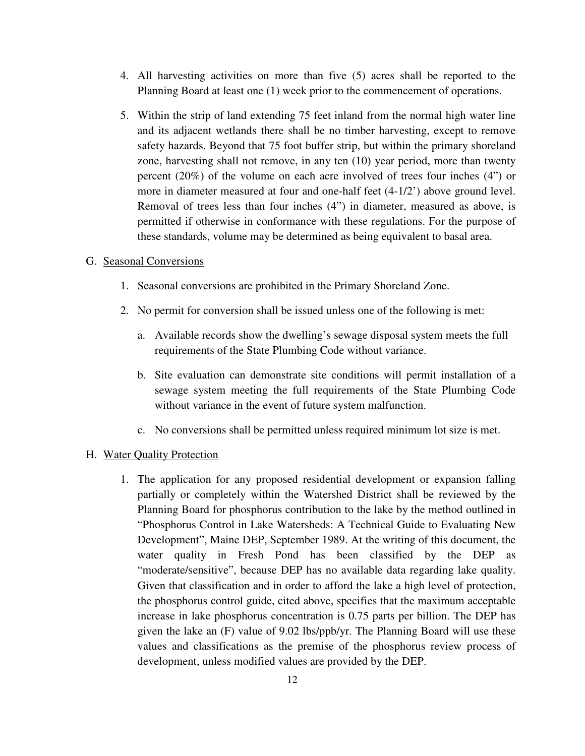- 4. All harvesting activities on more than five (5) acres shall be reported to the Planning Board at least one (1) week prior to the commencement of operations.
- 5. Within the strip of land extending 75 feet inland from the normal high water line and its adjacent wetlands there shall be no timber harvesting, except to remove safety hazards. Beyond that 75 foot buffer strip, but within the primary shoreland zone, harvesting shall not remove, in any ten (10) year period, more than twenty percent (20%) of the volume on each acre involved of trees four inches (4") or more in diameter measured at four and one-half feet (4-1/2') above ground level. Removal of trees less than four inches (4") in diameter, measured as above, is permitted if otherwise in conformance with these regulations. For the purpose of these standards, volume may be determined as being equivalent to basal area.

### G. Seasonal Conversions

- 1. Seasonal conversions are prohibited in the Primary Shoreland Zone.
- 2. No permit for conversion shall be issued unless one of the following is met:
	- a. Available records show the dwelling's sewage disposal system meets the full requirements of the State Plumbing Code without variance.
	- b. Site evaluation can demonstrate site conditions will permit installation of a sewage system meeting the full requirements of the State Plumbing Code without variance in the event of future system malfunction.
	- c. No conversions shall be permitted unless required minimum lot size is met.

### H. Water Quality Protection

1. The application for any proposed residential development or expansion falling partially or completely within the Watershed District shall be reviewed by the Planning Board for phosphorus contribution to the lake by the method outlined in "Phosphorus Control in Lake Watersheds: A Technical Guide to Evaluating New Development", Maine DEP, September 1989. At the writing of this document, the water quality in Fresh Pond has been classified by the DEP as "moderate/sensitive", because DEP has no available data regarding lake quality. Given that classification and in order to afford the lake a high level of protection, the phosphorus control guide, cited above, specifies that the maximum acceptable increase in lake phosphorus concentration is 0.75 parts per billion. The DEP has given the lake an (F) value of 9.02 lbs/ppb/yr. The Planning Board will use these values and classifications as the premise of the phosphorus review process of development, unless modified values are provided by the DEP.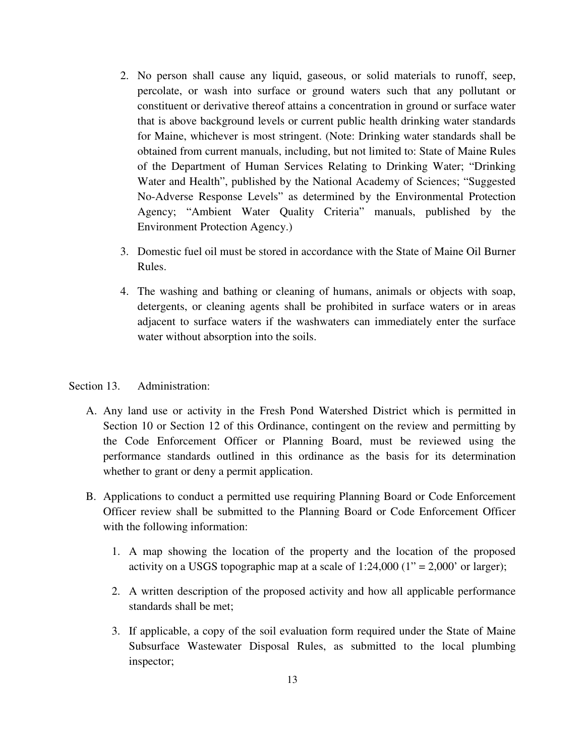- 2. No person shall cause any liquid, gaseous, or solid materials to runoff, seep, percolate, or wash into surface or ground waters such that any pollutant or constituent or derivative thereof attains a concentration in ground or surface water that is above background levels or current public health drinking water standards for Maine, whichever is most stringent. (Note: Drinking water standards shall be obtained from current manuals, including, but not limited to: State of Maine Rules of the Department of Human Services Relating to Drinking Water; "Drinking Water and Health", published by the National Academy of Sciences; "Suggested No-Adverse Response Levels" as determined by the Environmental Protection Agency; "Ambient Water Quality Criteria" manuals, published by the Environment Protection Agency.)
- 3. Domestic fuel oil must be stored in accordance with the State of Maine Oil Burner Rules.
- 4. The washing and bathing or cleaning of humans, animals or objects with soap, detergents, or cleaning agents shall be prohibited in surface waters or in areas adjacent to surface waters if the washwaters can immediately enter the surface water without absorption into the soils.

## Section 13. Administration:

- A. Any land use or activity in the Fresh Pond Watershed District which is permitted in Section 10 or Section 12 of this Ordinance, contingent on the review and permitting by the Code Enforcement Officer or Planning Board, must be reviewed using the performance standards outlined in this ordinance as the basis for its determination whether to grant or deny a permit application.
- B. Applications to conduct a permitted use requiring Planning Board or Code Enforcement Officer review shall be submitted to the Planning Board or Code Enforcement Officer with the following information:
	- 1. A map showing the location of the property and the location of the proposed activity on a USGS topographic map at a scale of  $1:24,000$  ( $1" = 2,000"$  or larger);
	- 2. A written description of the proposed activity and how all applicable performance standards shall be met;
	- 3. If applicable, a copy of the soil evaluation form required under the State of Maine Subsurface Wastewater Disposal Rules, as submitted to the local plumbing inspector;